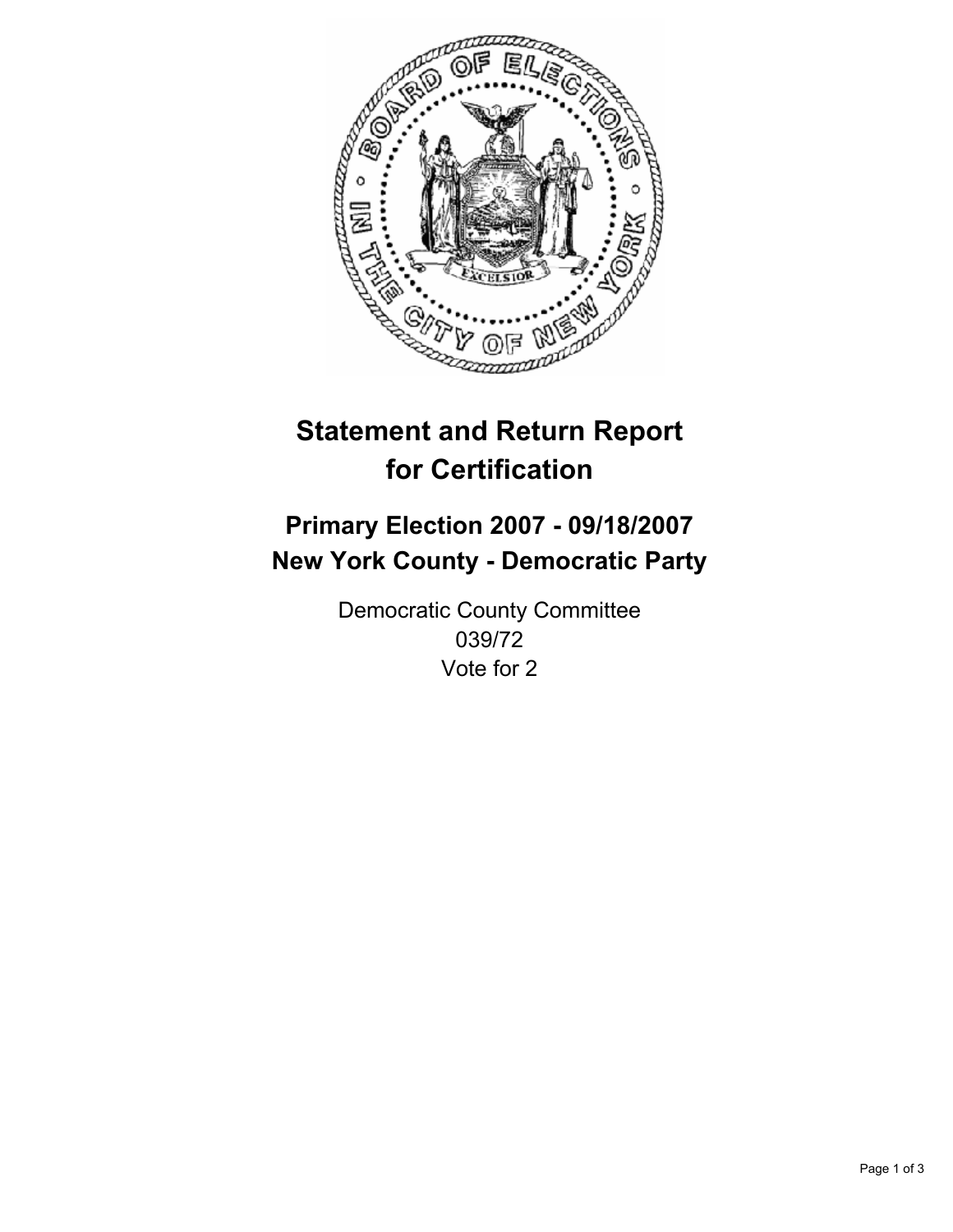

# **Statement and Return Report for Certification**

## **Primary Election 2007 - 09/18/2007 New York County - Democratic Party**

Democratic County Committee 039/72 Vote for 2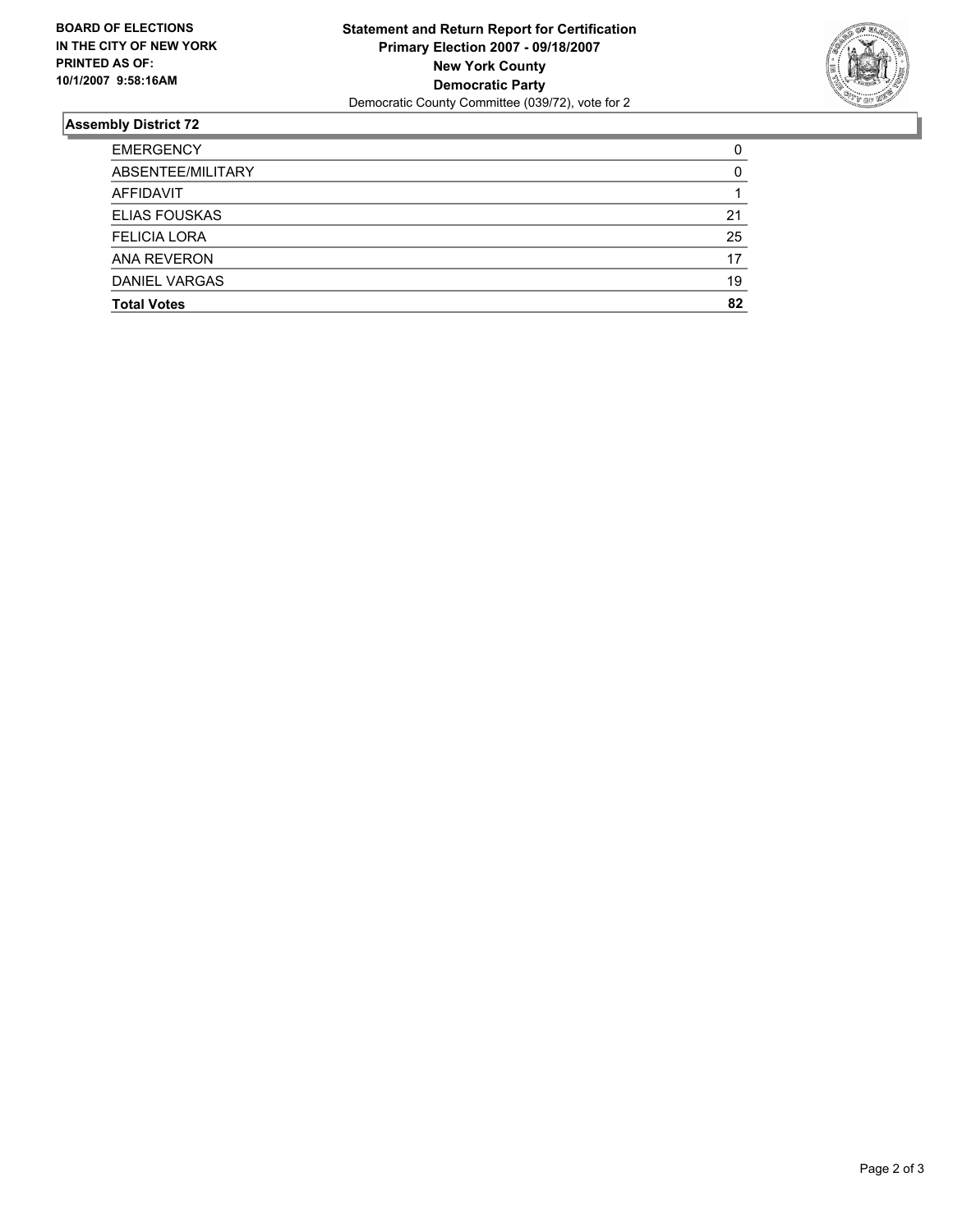

### **Assembly District 72**

| <b>EMERGENCY</b>     |    |
|----------------------|----|
| ABSENTEE/MILITARY    |    |
| AFFIDAVIT            |    |
| <b>ELIAS FOUSKAS</b> | 21 |
| <b>FELICIA LORA</b>  | 25 |
| <b>ANA REVERON</b>   | 17 |
| <b>DANIEL VARGAS</b> | 19 |
| <b>Total Votes</b>   | 82 |